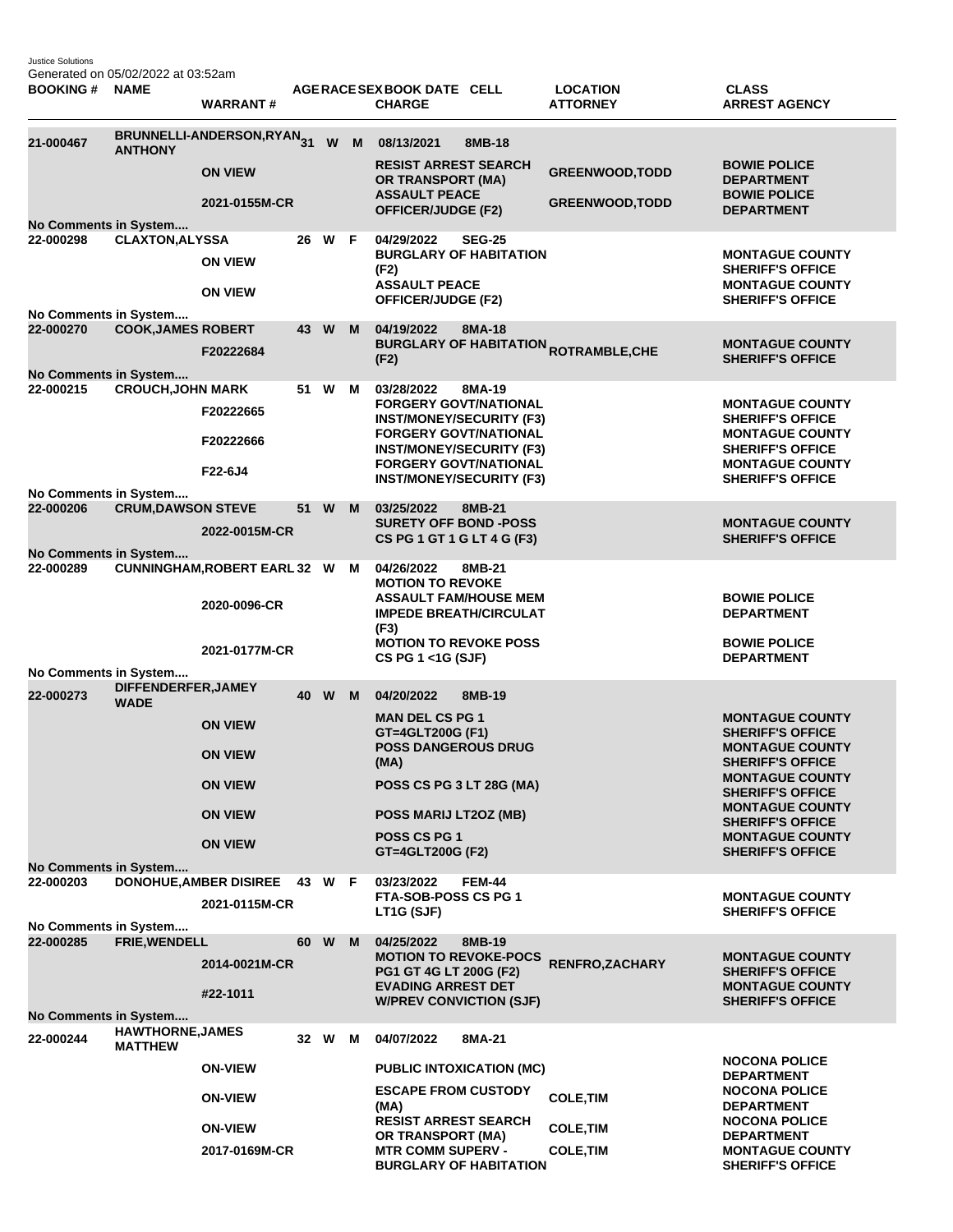Justice Solutions Generated on 05/02/2022 at 03:52am

| <b>BOOKING#</b>                    | <b>NAME</b>                               | <b>WARRANT#</b>                                |    |        |   | AGERACE SEX BOOK DATE CELL<br><b>CHARGE</b>                                                     |               | <b>LOCATION</b><br><b>ATTORNEY</b>                     | <b>CLASS</b><br><b>ARREST AGENCY</b>                                        |
|------------------------------------|-------------------------------------------|------------------------------------------------|----|--------|---|-------------------------------------------------------------------------------------------------|---------------|--------------------------------------------------------|-----------------------------------------------------------------------------|
| 21-000467                          | <b>ANTHONY</b>                            | BRUNNELLI-ANDERSON,RYAN31                      |    | W      | M | 08/13/2021<br><b>RESIST ARREST SEARCH</b>                                                       | 8MB-18        |                                                        | <b>BOWIE POLICE</b>                                                         |
|                                    |                                           | <b>ON VIEW</b>                                 |    |        |   | OR TRANSPORT (MA)<br><b>ASSAULT PEACE</b>                                                       |               | <b>GREENWOOD, TODD</b>                                 | <b>DEPARTMENT</b><br><b>BOWIE POLICE</b>                                    |
|                                    |                                           | 2021-0155M-CR                                  |    |        |   | <b>OFFICER/JUDGE (F2)</b>                                                                       |               | <b>GREENWOOD, TODD</b>                                 | <b>DEPARTMENT</b>                                                           |
| No Comments in System<br>22-000298 | <b>CLAXTON, ALYSSA</b>                    |                                                |    | 26 W F |   | 04/29/2022                                                                                      | <b>SEG-25</b> |                                                        |                                                                             |
|                                    |                                           | <b>ON VIEW</b>                                 |    |        |   | <b>BURGLARY OF HABITATION</b><br>(F2)<br><b>ASSAULT PEACE</b>                                   |               |                                                        | <b>MONTAGUE COUNTY</b><br><b>SHERIFF'S OFFICE</b><br><b>MONTAGUE COUNTY</b> |
|                                    |                                           | <b>ON VIEW</b>                                 |    |        |   | OFFICER/JUDGE (F2)                                                                              |               |                                                        | <b>SHERIFF'S OFFICE</b>                                                     |
| No Comments in System<br>22-000270 | <b>COOK, JAMES ROBERT</b>                 |                                                |    | 43 W   | M | 04/19/2022                                                                                      | 8MA-18        |                                                        |                                                                             |
| No Comments in System              |                                           | F20222684                                      |    |        |   | (F2)                                                                                            |               | <b>BURGLARY OF HABITATION <sub>ROTRAMBLE,CHE</sub></b> | <b>MONTAGUE COUNTY</b><br><b>SHERIFF'S OFFICE</b>                           |
| 22-000215                          | <b>CROUCH, JOHN MARK</b>                  |                                                |    | 51 W M |   | 03/28/2022                                                                                      | 8MA-19        |                                                        |                                                                             |
|                                    |                                           | F20222665                                      |    |        |   | <b>FORGERY GOVT/NATIONAL</b><br><b>INST/MONEY/SECURITY (F3)</b><br><b>FORGERY GOVT/NATIONAL</b> |               |                                                        | <b>MONTAGUE COUNTY</b><br><b>SHERIFF'S OFFICE</b><br><b>MONTAGUE COUNTY</b> |
|                                    |                                           | F20222666                                      |    |        |   | <b>INST/MONEY/SECURITY (F3)</b>                                                                 |               |                                                        | <b>SHERIFF'S OFFICE</b>                                                     |
|                                    |                                           | F22-6J4                                        |    |        |   | <b>FORGERY GOVT/NATIONAL</b><br><b>INST/MONEY/SECURITY (F3)</b>                                 |               |                                                        | <b>MONTAGUE COUNTY</b><br><b>SHERIFF'S OFFICE</b>                           |
| No Comments in System<br>22-000206 |                                           |                                                |    | 51 W   | M | 03/25/2022                                                                                      | 8MB-21        |                                                        |                                                                             |
| No Comments in System              | <b>CRUM, DAWSON STEVE</b>                 | 2022-0015M-CR                                  |    |        |   | <b>SURETY OFF BOND -POSS</b><br>CS PG 1 GT 1 G LT 4 G (F3)                                      |               |                                                        | <b>MONTAGUE COUNTY</b><br><b>SHERIFF'S OFFICE</b>                           |
| 22-000289                          |                                           | <b>CUNNINGHAM, ROBERT EARL 32 W</b>            |    |        | м | 04/26/2022                                                                                      | 8MB-21        |                                                        |                                                                             |
|                                    |                                           | 2020-0096-CR                                   |    |        |   | <b>MOTION TO REVOKE</b><br><b>ASSAULT FAM/HOUSE MEM</b><br><b>IMPEDE BREATH/CIRCULAT</b>        |               |                                                        | <b>BOWIE POLICE</b><br><b>DEPARTMENT</b>                                    |
|                                    |                                           | 2021-0177M-CR                                  |    |        |   | (F3)<br><b>MOTION TO REVOKE POSS</b><br>CS PG 1 <1G (SJF)                                       |               |                                                        | <b>BOWIE POLICE</b><br><b>DEPARTMENT</b>                                    |
| No Comments in System              |                                           |                                                |    |        |   |                                                                                                 |               |                                                        |                                                                             |
| 22-000273                          | DIFFENDERFER, JAMEY<br><b>WADE</b>        |                                                |    | 40 W   | M | 04/20/2022                                                                                      | 8MB-19        |                                                        |                                                                             |
|                                    |                                           | <b>ON VIEW</b>                                 |    |        |   | <b>MAN DEL CS PG 1</b><br>GT=4GLT200G (F1)                                                      |               |                                                        | <b>MONTAGUE COUNTY</b><br><b>SHERIFF'S OFFICE</b>                           |
|                                    |                                           | <b>ON VIEW</b>                                 |    |        |   | <b>POSS DANGEROUS DRUG</b><br>(MA)                                                              |               |                                                        | <b>MONTAGUE COUNTY</b><br><b>SHERIFF'S OFFICE</b>                           |
|                                    |                                           | <b>ON VIEW</b>                                 |    |        |   | POSS CS PG 3 LT 28G (MA)                                                                        |               |                                                        | <b>MONTAGUE COUNTY</b><br><b>SHERIFF'S OFFICE</b>                           |
|                                    |                                           | <b>ON VIEW</b>                                 |    |        |   | POSS MARIJ LT2OZ (MB)                                                                           |               |                                                        | <b>MONTAGUE COUNTY</b><br><b>SHERIFF'S OFFICE</b>                           |
|                                    |                                           | <b>ON VIEW</b>                                 |    |        |   | POSS CS PG 1<br>GT=4GLT200G (F2)                                                                |               |                                                        | <b>MONTAGUE COUNTY</b><br><b>SHERIFF'S OFFICE</b>                           |
| No Comments in System              |                                           |                                                |    |        |   |                                                                                                 |               |                                                        |                                                                             |
| 22-000203                          |                                           | <b>DONOHUE, AMBER DISIREE</b><br>2021-0115M-CR |    | 43 W F |   | 03/23/2022<br>FTA-SOB-POSS CS PG 1<br>LT1G (SJF)                                                | <b>FEM-44</b> |                                                        | <b>MONTAGUE COUNTY</b><br><b>SHERIFF'S OFFICE</b>                           |
| No Comments in System<br>22-000285 | FRIE, WENDELL                             |                                                | 60 | W      | M | 04/25/2022                                                                                      | 8MB-19        |                                                        |                                                                             |
|                                    |                                           | 2014-0021M-CR                                  |    |        |   | <b>MOTION TO REVOKE-POCS</b><br>PG1 GT 4G LT 200G (F2)                                          |               | <b>RENFRO, ZACHARY</b>                                 | <b>MONTAGUE COUNTY</b><br><b>SHERIFF'S OFFICE</b>                           |
|                                    |                                           | #22-1011                                       |    |        |   | <b>EVADING ARREST DET</b><br><b>W/PREV CONVICTION (SJF)</b>                                     |               |                                                        | <b>MONTAGUE COUNTY</b><br><b>SHERIFF'S OFFICE</b>                           |
| No Comments in System              |                                           |                                                |    |        |   |                                                                                                 |               |                                                        |                                                                             |
| 22-000244                          | <b>HAWTHORNE, JAMES</b><br><b>MATTHEW</b> |                                                |    | 32 W   | М | 04/07/2022                                                                                      | 8MA-21        |                                                        |                                                                             |
|                                    |                                           | <b>ON-VIEW</b>                                 |    |        |   | <b>PUBLIC INTOXICATION (MC)</b>                                                                 |               |                                                        | <b>NOCONA POLICE</b><br><b>DEPARTMENT</b>                                   |
|                                    |                                           | <b>ON-VIEW</b>                                 |    |        |   | <b>ESCAPE FROM CUSTODY</b><br>(MA)                                                              |               | <b>COLE, TIM</b>                                       | <b>NOCONA POLICE</b><br><b>DEPARTMENT</b>                                   |
|                                    |                                           | <b>ON-VIEW</b>                                 |    |        |   | <b>RESIST ARREST SEARCH</b><br>OR TRANSPORT (MA)                                                |               | <b>COLE, TIM</b>                                       | <b>NOCONA POLICE</b><br><b>DEPARTMENT</b>                                   |
|                                    |                                           | 2017-0169M-CR                                  |    |        |   | <b>MTR COMM SUPERV -</b><br><b>BURGLARY OF HABITATION</b>                                       |               | <b>COLE, TIM</b>                                       | <b>MONTAGUE COUNTY</b><br><b>SHERIFF'S OFFICE</b>                           |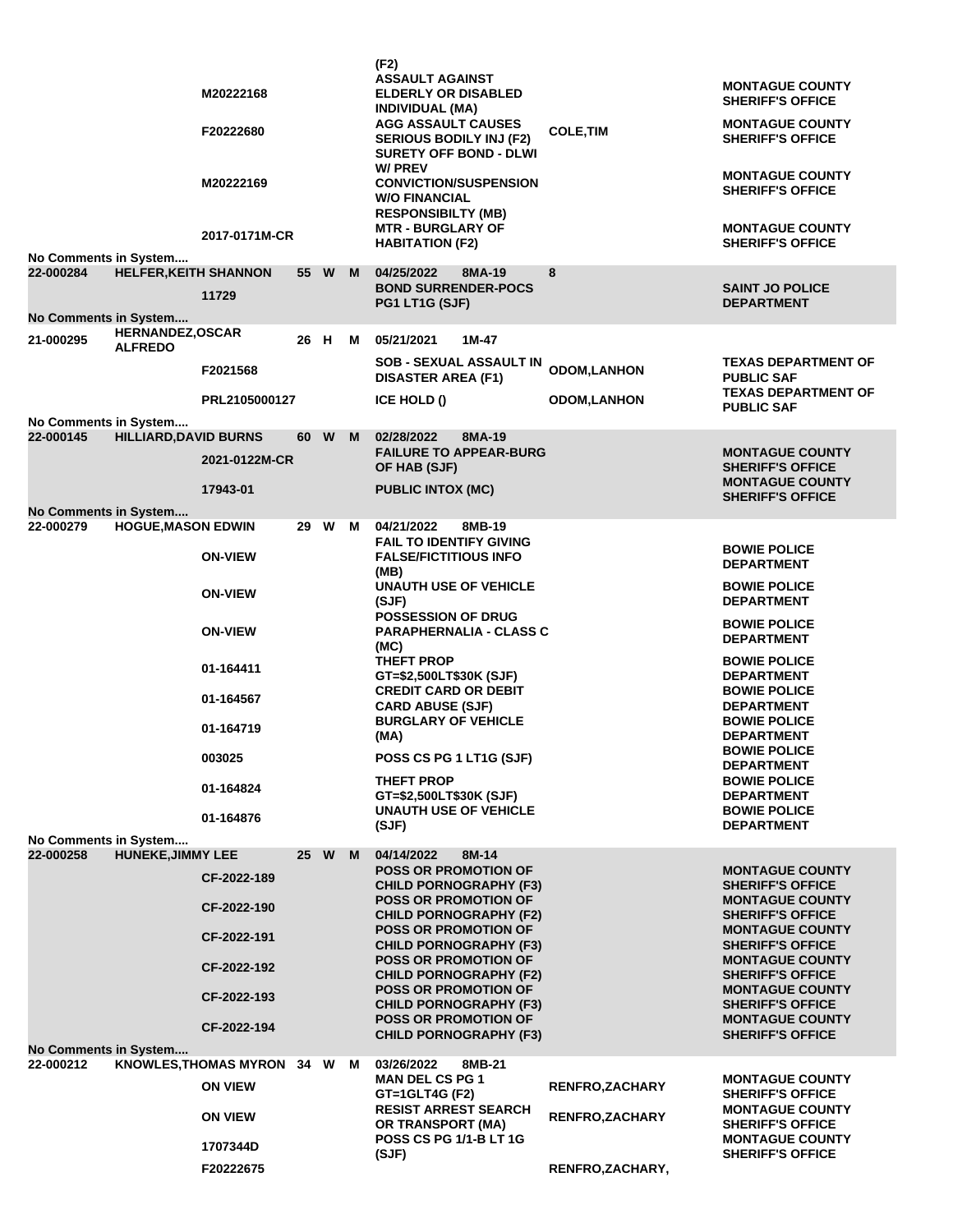|  | No Comments in System                     |                              | M20222168<br>F20222680<br>M20222169<br>2017-0171M-CR |                 |   |                                                    | (F2)<br><b>ASSAULT AGAINST</b><br><b>ELDERLY OR DISABLED</b><br><b>INDIVIDUAL (MA)</b><br><b>AGG ASSAULT CAUSES</b><br><b>SERIOUS BODILY INJ (F2)</b><br><b>SURETY OFF BOND - DLWI</b><br>W/ PREV<br><b>CONVICTION/SUSPENSION</b><br><b>W/O FINANCIAL</b><br><b>RESPONSIBILTY (MB)</b><br><b>MTR - BURGLARY OF</b><br><b>HABITATION (F2)</b> | <b>COLE,TIM</b>                                   | <b>MONTAGUE COUNTY</b><br><b>SHERIFF'S OFFICE</b><br><b>MONTAGUE COUNTY</b><br><b>SHERIFF'S OFFICE</b><br><b>MONTAGUE COUNTY</b><br><b>SHERIFF'S OFFICE</b><br><b>MONTAGUE COUNTY</b><br><b>SHERIFF'S OFFICE</b> |
|--|-------------------------------------------|------------------------------|------------------------------------------------------|-----------------|---|----------------------------------------------------|----------------------------------------------------------------------------------------------------------------------------------------------------------------------------------------------------------------------------------------------------------------------------------------------------------------------------------------------|---------------------------------------------------|------------------------------------------------------------------------------------------------------------------------------------------------------------------------------------------------------------------|
|  | 22-000284                                 | <b>HELFER, KEITH SHANNON</b> | 11729                                                | 55 W            |   | M                                                  | 04/25/2022<br>8MA-19<br><b>BOND SURRENDER-POCS</b><br>PG1 LT1G (SJF)                                                                                                                                                                                                                                                                         | 8                                                 | <b>SAINT JO POLICE</b><br><b>DEPARTMENT</b>                                                                                                                                                                      |
|  | <b>No Comments in System</b><br>21-000295 | HERNANDEZ, OSCAR             |                                                      | 26 H            |   | м                                                  | 05/21/2021<br>1M-47                                                                                                                                                                                                                                                                                                                          |                                                   |                                                                                                                                                                                                                  |
|  |                                           | <b>ALFREDO</b>               | F2021568                                             |                 |   |                                                    | <b>SOB - SEXUAL ASSAULT IN</b><br><b>DISASTER AREA (F1)</b>                                                                                                                                                                                                                                                                                  | <b>ODOM,LANHON</b>                                | <b>TEXAS DEPARTMENT OF</b><br><b>PUBLIC SAF</b>                                                                                                                                                                  |
|  |                                           |                              | PRL2105000127                                        |                 |   |                                                    | ICE HOLD ()                                                                                                                                                                                                                                                                                                                                  | <b>ODOM,LANHON</b>                                | <b>TEXAS DEPARTMENT OF</b><br><b>PUBLIC SAF</b>                                                                                                                                                                  |
|  | No Comments in System                     |                              |                                                      |                 |   |                                                    |                                                                                                                                                                                                                                                                                                                                              |                                                   |                                                                                                                                                                                                                  |
|  | 22-000145                                 | <b>HILLIARD, DAVID BURNS</b> | 2021-0122M-CR                                        | 60              | W | M                                                  | 02/28/2022<br>8MA-19<br><b>FAILURE TO APPEAR-BURG</b>                                                                                                                                                                                                                                                                                        |                                                   | <b>MONTAGUE COUNTY</b>                                                                                                                                                                                           |
|  |                                           |                              | 17943-01                                             |                 |   |                                                    | OF HAB (SJF)<br><b>PUBLIC INTOX (MC)</b>                                                                                                                                                                                                                                                                                                     |                                                   | <b>SHERIFF'S OFFICE</b><br><b>MONTAGUE COUNTY</b>                                                                                                                                                                |
|  | No Comments in System                     |                              |                                                      |                 |   |                                                    |                                                                                                                                                                                                                                                                                                                                              |                                                   | <b>SHERIFF'S OFFICE</b>                                                                                                                                                                                          |
|  | 22-000279                                 | <b>HOGUE, MASON EDWIN</b>    |                                                      | 29 W            |   | м                                                  | 04/21/2022<br>8MB-19<br><b>FAIL TO IDENTIFY GIVING</b>                                                                                                                                                                                                                                                                                       |                                                   | <b>BOWIE POLICE</b>                                                                                                                                                                                              |
|  |                                           |                              | <b>ON-VIEW</b>                                       |                 |   |                                                    | <b>FALSE/FICTITIOUS INFO</b><br>(MB)                                                                                                                                                                                                                                                                                                         |                                                   | <b>DEPARTMENT</b>                                                                                                                                                                                                |
|  |                                           |                              | <b>ON-VIEW</b>                                       |                 |   |                                                    | <b>UNAUTH USE OF VEHICLE</b><br>(SJF)<br><b>POSSESSION OF DRUG</b>                                                                                                                                                                                                                                                                           |                                                   | <b>BOWIE POLICE</b><br><b>DEPARTMENT</b>                                                                                                                                                                         |
|  |                                           |                              | <b>ON-VIEW</b>                                       |                 |   |                                                    | <b>PARAPHERNALIA - CLASS C</b><br>(MC)                                                                                                                                                                                                                                                                                                       |                                                   | <b>BOWIE POLICE</b><br><b>DEPARTMENT</b>                                                                                                                                                                         |
|  |                                           |                              | 01-164411                                            |                 |   |                                                    | <b>THEFT PROP</b><br>GT=\$2,500LT\$30K (SJF)                                                                                                                                                                                                                                                                                                 |                                                   | <b>BOWIE POLICE</b><br><b>DEPARTMENT</b>                                                                                                                                                                         |
|  |                                           |                              | 01-164567                                            |                 |   |                                                    | <b>CREDIT CARD OR DEBIT</b><br><b>CARD ABUSE (SJF)</b>                                                                                                                                                                                                                                                                                       |                                                   | <b>BOWIE POLICE</b><br><b>DEPARTMENT</b>                                                                                                                                                                         |
|  |                                           |                              | 01-164719                                            |                 |   |                                                    | <b>BURGLARY OF VEHICLE</b><br>(MA)                                                                                                                                                                                                                                                                                                           |                                                   | <b>BOWIE POLICE</b><br><b>DEPARTMENT</b>                                                                                                                                                                         |
|  |                                           |                              | 003025                                               |                 |   |                                                    | POSS CS PG 1 LT1G (SJF)                                                                                                                                                                                                                                                                                                                      |                                                   | <b>BOWIE POLICE</b><br><b>DEPARTMENT</b>                                                                                                                                                                         |
|  |                                           |                              | 01-164824                                            |                 |   |                                                    | THEFT PROP<br>GT=\$2,500LT\$30K (SJF)                                                                                                                                                                                                                                                                                                        |                                                   | <b>BOWIE POLICE</b><br><b>DEPARTMENT</b>                                                                                                                                                                         |
|  |                                           |                              | 01-164876                                            |                 |   |                                                    | <b>UNAUTH USE OF VEHICLE</b><br>(SJF)                                                                                                                                                                                                                                                                                                        |                                                   | <b>BOWIE POLICE</b><br><b>DEPARTMENT</b>                                                                                                                                                                         |
|  | No Comments in System                     |                              |                                                      |                 |   |                                                    |                                                                                                                                                                                                                                                                                                                                              |                                                   |                                                                                                                                                                                                                  |
|  | 22-000258                                 | <b>HUNEKE, JIMMY LEE</b>     | CF-2022-189                                          | 25 <sub>2</sub> | W | M                                                  | 04/14/2022<br>8M-14<br><b>POSS OR PROMOTION OF</b>                                                                                                                                                                                                                                                                                           |                                                   | <b>MONTAGUE COUNTY</b>                                                                                                                                                                                           |
|  |                                           |                              | CF-2022-190                                          |                 |   |                                                    | <b>CHILD PORNOGRAPHY (F3)</b><br><b>POSS OR PROMOTION OF</b>                                                                                                                                                                                                                                                                                 |                                                   | <b>SHERIFF'S OFFICE</b><br><b>MONTAGUE COUNTY</b>                                                                                                                                                                |
|  |                                           |                              | CF-2022-191                                          |                 |   |                                                    | <b>CHILD PORNOGRAPHY (F2)</b><br><b>POSS OR PROMOTION OF</b><br><b>CHILD PORNOGRAPHY (F3)</b>                                                                                                                                                                                                                                                |                                                   | <b>SHERIFF'S OFFICE</b><br><b>MONTAGUE COUNTY</b><br><b>SHERIFF'S OFFICE</b>                                                                                                                                     |
|  |                                           |                              | CF-2022-192                                          |                 |   |                                                    | <b>POSS OR PROMOTION OF</b><br><b>CHILD PORNOGRAPHY (F2)</b>                                                                                                                                                                                                                                                                                 |                                                   | <b>MONTAGUE COUNTY</b><br><b>SHERIFF'S OFFICE</b>                                                                                                                                                                |
|  |                                           |                              | CF-2022-193                                          |                 |   |                                                    | <b>POSS OR PROMOTION OF</b><br><b>CHILD PORNOGRAPHY (F3)</b>                                                                                                                                                                                                                                                                                 |                                                   | <b>MONTAGUE COUNTY</b><br><b>SHERIFF'S OFFICE</b>                                                                                                                                                                |
|  |                                           |                              | CF-2022-194                                          |                 |   |                                                    | <b>POSS OR PROMOTION OF</b><br><b>CHILD PORNOGRAPHY (F3)</b>                                                                                                                                                                                                                                                                                 |                                                   | <b>MONTAGUE COUNTY</b><br><b>SHERIFF'S OFFICE</b>                                                                                                                                                                |
|  | No Comments in System                     |                              |                                                      |                 |   |                                                    |                                                                                                                                                                                                                                                                                                                                              |                                                   |                                                                                                                                                                                                                  |
|  | 22-000212                                 | KNOWLES, THOMAS MYRON 34 W M | <b>ON VIEW</b>                                       |                 |   |                                                    | 03/26/2022<br>8MB-21<br><b>MAN DEL CS PG 1</b>                                                                                                                                                                                                                                                                                               | <b>RENFRO, ZACHARY</b>                            | <b>MONTAGUE COUNTY</b>                                                                                                                                                                                           |
|  |                                           |                              | <b>ON VIEW</b>                                       |                 |   |                                                    | GT=1GLT4G (F2)<br><b>RESIST ARREST SEARCH</b>                                                                                                                                                                                                                                                                                                | <b>RENFRO, ZACHARY</b>                            | <b>SHERIFF'S OFFICE</b><br><b>MONTAGUE COUNTY</b>                                                                                                                                                                |
|  |                                           |                              |                                                      |                 |   | OR TRANSPORT (MA)<br><b>POSS CS PG 1/1-B LT 1G</b> |                                                                                                                                                                                                                                                                                                                                              | <b>SHERIFF'S OFFICE</b><br><b>MONTAGUE COUNTY</b> |                                                                                                                                                                                                                  |
|  |                                           |                              | 1707344D<br>F20222675                                |                 |   |                                                    | (SJF)                                                                                                                                                                                                                                                                                                                                        | RENFRO, ZACHARY,                                  | <b>SHERIFF'S OFFICE</b>                                                                                                                                                                                          |
|  |                                           |                              |                                                      |                 |   |                                                    |                                                                                                                                                                                                                                                                                                                                              |                                                   |                                                                                                                                                                                                                  |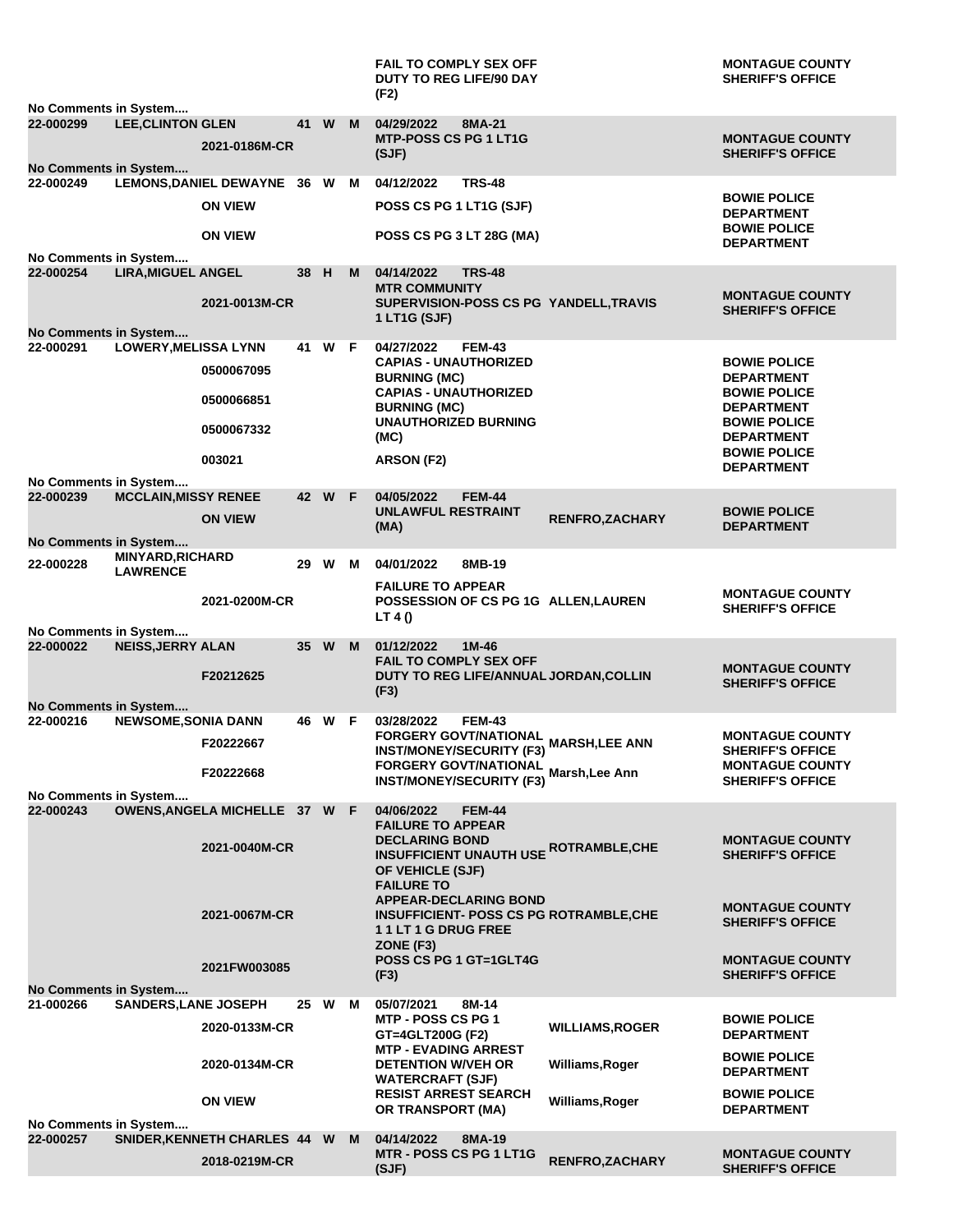| No Comments in System                     |                             |                                |      |        |   | <b>FAIL TO COMPLY SEX OFF</b><br><b>DUTY TO REG LIFE/90 DAY</b><br>(F2)                         |                        | <b>MONTAGUE COUNTY</b><br><b>SHERIFF'S OFFICE</b>               |
|-------------------------------------------|-----------------------------|--------------------------------|------|--------|---|-------------------------------------------------------------------------------------------------|------------------------|-----------------------------------------------------------------|
| 22-000299<br><b>No Comments in System</b> | <b>LEE, CLINTON GLEN</b>    | 2021-0186M-CR                  |      | 41 W   | M | 04/29/2022<br>8MA-21<br><b>MTP-POSS CS PG 1 LT1G</b><br>(SJF)                                   |                        | <b>MONTAGUE COUNTY</b><br><b>SHERIFF'S OFFICE</b>               |
| 22-000249                                 |                             | LEMONS, DANIEL DEWAYNE 36 W M  |      |        |   | 04/12/2022<br><b>TRS-48</b>                                                                     |                        |                                                                 |
|                                           |                             | <b>ON VIEW</b>                 |      |        |   | POSS CS PG 1 LT1G (SJF)                                                                         |                        | <b>BOWIE POLICE</b><br><b>DEPARTMENT</b><br><b>BOWIE POLICE</b> |
|                                           |                             | <b>ON VIEW</b>                 |      |        |   | POSS CS PG 3 LT 28G (MA)                                                                        |                        | <b>DEPARTMENT</b>                                               |
| No Comments in System                     |                             |                                |      |        |   |                                                                                                 |                        |                                                                 |
| 22-000254                                 | <b>LIRA, MIGUEL ANGEL</b>   |                                | 38 H |        | M | 04/14/2022<br><b>TRS-48</b><br><b>MTR COMMUNITY</b>                                             |                        |                                                                 |
|                                           |                             | 2021-0013M-CR                  |      |        |   | SUPERVISION-POSS CS PG YANDELL, TRAVIS                                                          |                        | <b>MONTAGUE COUNTY</b><br><b>SHERIFF'S OFFICE</b>               |
| No Comments in System                     |                             |                                |      |        |   | 1 LT1G (SJF)                                                                                    |                        |                                                                 |
| 22-000291                                 | <b>LOWERY, MELISSA LYNN</b> |                                | 41   | W F    |   | <b>FEM-43</b><br>04/27/2022                                                                     |                        |                                                                 |
|                                           |                             | 0500067095                     |      |        |   | <b>CAPIAS - UNAUTHORIZED</b>                                                                    |                        | <b>BOWIE POLICE</b>                                             |
|                                           |                             |                                |      |        |   | <b>BURNING (MC)</b><br><b>CAPIAS - UNAUTHORIZED</b>                                             |                        | <b>DEPARTMENT</b><br><b>BOWIE POLICE</b>                        |
|                                           |                             | 0500066851                     |      |        |   | <b>BURNING (MC)</b>                                                                             |                        | <b>DEPARTMENT</b>                                               |
|                                           |                             | 0500067332                     |      |        |   | <b>UNAUTHORIZED BURNING</b><br>(MC)                                                             |                        | <b>BOWIE POLICE</b><br><b>DEPARTMENT</b>                        |
|                                           |                             |                                |      |        |   |                                                                                                 |                        | <b>BOWIE POLICE</b>                                             |
|                                           |                             | 003021                         |      |        |   | ARSON (F2)                                                                                      |                        | <b>DEPARTMENT</b>                                               |
| No Comments in System<br>22-000239        | <b>MCCLAIN, MISSY RENEE</b> |                                |      | 42 W F |   | 04/05/2022<br><b>FEM-44</b>                                                                     |                        |                                                                 |
|                                           |                             | <b>ON VIEW</b>                 |      |        |   | <b>UNLAWFUL RESTRAINT</b>                                                                       | <b>RENFRO, ZACHARY</b> | <b>BOWIE POLICE</b>                                             |
| <b>No Comments in System</b>              |                             |                                |      |        |   | (MA)                                                                                            |                        | <b>DEPARTMENT</b>                                               |
|                                           | <b>MINYARD, RICHARD</b>     |                                |      |        |   |                                                                                                 |                        |                                                                 |
| 22-000228                                 | <b>LAWRENCE</b>             |                                | 29   | W      | M | 04/01/2022<br>8MB-19                                                                            |                        |                                                                 |
|                                           |                             | 2021-0200M-CR                  |      |        |   | <b>FAILURE TO APPEAR</b><br>POSSESSION OF CS PG 1G ALLEN, LAUREN                                |                        | <b>MONTAGUE COUNTY</b>                                          |
|                                           |                             |                                |      |        |   | LT 4 $()$                                                                                       |                        | <b>SHERIFF'S OFFICE</b>                                         |
| No Comments in System<br>22-000022        | <b>NEISS, JERRY ALAN</b>    |                                | 35 W |        | M | 1M-46<br>01/12/2022                                                                             |                        |                                                                 |
|                                           |                             |                                |      |        |   | <b>FAIL TO COMPLY SEX OFF</b>                                                                   |                        |                                                                 |
|                                           |                             | F20212625                      |      |        |   | DUTY TO REG LIFE/ANNUAL JORDAN, COLLIN                                                          |                        | <b>MONTAGUE COUNTY</b><br><b>SHERIFF'S OFFICE</b>               |
| <b>No Comments in System</b>              |                             |                                |      |        |   | (F3)                                                                                            |                        |                                                                 |
| 22-000216                                 | <b>NEWSOME, SONIA DANN</b>  |                                |      | 46 W F |   | 03/28/2022<br><b>FEM-43</b>                                                                     |                        |                                                                 |
|                                           |                             | F20222667                      |      |        |   | FORGERY GOVT/NATIONAL<br>FORGERY GOVT/NATIONAL MARSH,LEE ANN<br><b>INST/MONEY/SECURITY (F3)</b> |                        | <b>MONTAGUE COUNTY</b><br><b>SHERIFF'S OFFICE</b>               |
|                                           |                             |                                |      |        |   | FORGERY GOVT/NATIONAL Marsh, Lee Ann                                                            |                        | <b>MONTAGUE COUNTY</b>                                          |
|                                           |                             | F20222668                      |      |        |   | <b>INST/MONEY/SECURITY (F3)</b>                                                                 |                        | <b>SHERIFF'S OFFICE</b>                                         |
| No Comments in System<br>22-000243        |                             | OWENS, ANGELA MICHELLE 37 W F  |      |        |   | 04/06/2022<br><b>FEM-44</b>                                                                     |                        |                                                                 |
|                                           |                             |                                |      |        |   | <b>FAILURE TO APPEAR</b>                                                                        |                        |                                                                 |
|                                           |                             | 2021-0040M-CR                  |      |        |   | <b>DECLARING BOND</b><br><b>INSUFFICIENT UNAUTH USE ROTRAMBLE, CHE</b>                          |                        | <b>MONTAGUE COUNTY</b><br><b>SHERIFF'S OFFICE</b>               |
|                                           |                             |                                |      |        |   | OF VEHICLE (SJF)                                                                                |                        |                                                                 |
|                                           |                             |                                |      |        |   | <b>FAILURE TO</b>                                                                               |                        |                                                                 |
|                                           |                             | 2021-0067M-CR                  |      |        |   | <b>APPEAR-DECLARING BOND</b><br><b>INSUFFICIENT- POSS CS PG ROTRAMBLE, CHE</b>                  |                        | <b>MONTAGUE COUNTY</b>                                          |
|                                           |                             |                                |      |        |   | 11LT1GDRUGFREE                                                                                  |                        | <b>SHERIFF'S OFFICE</b>                                         |
|                                           |                             |                                |      |        |   | ZONE (F3)                                                                                       |                        |                                                                 |
|                                           |                             | 2021FW003085                   |      |        |   | <b>POSS CS PG 1 GT=1GLT4G</b><br>(F3)                                                           |                        | <b>MONTAGUE COUNTY</b><br><b>SHERIFF'S OFFICE</b>               |
| No Comments in System                     |                             |                                |      |        |   |                                                                                                 |                        |                                                                 |
| 21-000266                                 | <b>SANDERS, LANE JOSEPH</b> |                                | 25 W |        | M | 05/07/2021<br>8M-14<br><b>MTP - POSS CS PG 1</b>                                                |                        | <b>BOWIE POLICE</b>                                             |
|                                           |                             | 2020-0133M-CR                  |      |        |   | GT=4GLT200G (F2)                                                                                | <b>WILLIAMS,ROGER</b>  | <b>DEPARTMENT</b>                                               |
|                                           |                             |                                |      |        |   | <b>MTP - EVADING ARREST</b>                                                                     |                        | <b>BOWIE POLICE</b>                                             |
|                                           |                             | 2020-0134M-CR                  |      |        |   | <b>DETENTION W/VEH OR</b><br><b>WATERCRAFT (SJF)</b>                                            | Williams, Roger        | <b>DEPARTMENT</b>                                               |
|                                           |                             | <b>ON VIEW</b>                 |      |        |   | <b>RESIST ARREST SEARCH</b>                                                                     | Williams, Roger        | <b>BOWIE POLICE</b>                                             |
|                                           |                             |                                |      |        |   | OR TRANSPORT (MA)                                                                               |                        | <b>DEPARTMENT</b>                                               |
| No Comments in System<br>22-000257        |                             | SNIDER, KENNETH CHARLES 44 W M |      |        |   | 04/14/2022<br>8MA-19                                                                            |                        |                                                                 |
|                                           |                             | 2018-0219M-CR                  |      |        |   | <b>MTR - POSS CS PG 1 LT1G</b>                                                                  | <b>RENFRO, ZACHARY</b> | <b>MONTAGUE COUNTY</b>                                          |
|                                           |                             |                                |      |        |   | (SJF)                                                                                           |                        | <b>SHERIFF'S OFFICE</b>                                         |